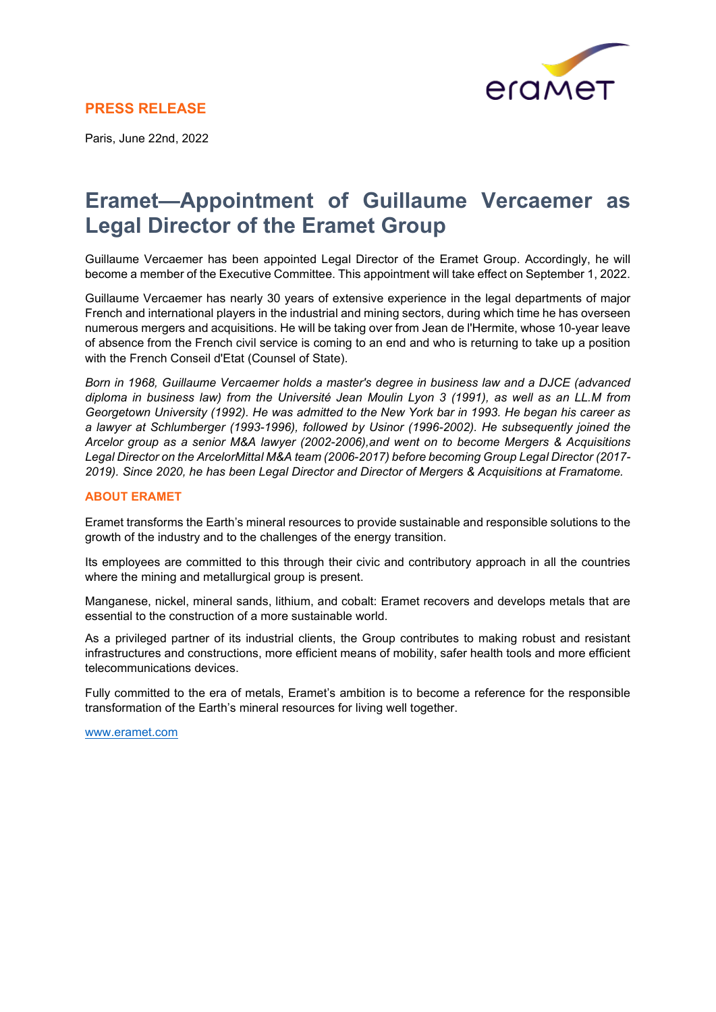

## **PRESS RELEASE**

Paris, June 22nd, 2022

## **Eramet—Appointment of Guillaume Vercaemer as Legal Director of the Eramet Group**

Guillaume Vercaemer has been appointed Legal Director of the Eramet Group. Accordingly, he will become a member of the Executive Committee. This appointment will take effect on September 1, 2022.

Guillaume Vercaemer has nearly 30 years of extensive experience in the legal departments of major French and international players in the industrial and mining sectors, during which time he has overseen numerous mergers and acquisitions. He will be taking over from Jean de l'Hermite, whose 10-year leave of absence from the French civil service is coming to an end and who is returning to take up a position with the French Conseil d'Etat (Counsel of State).

*Born in 1968, Guillaume Vercaemer holds a master's degree in business law and a DJCE (advanced diploma in business law) from the Université Jean Moulin Lyon 3 (1991), as well as an LL.M from Georgetown University (1992). He was admitted to the New York bar in 1993. He began his career as a lawyer at Schlumberger (1993-1996), followed by Usinor (1996-2002). He subsequently joined the Arcelor group as a senior M&A lawyer (2002-2006),and went on to become Mergers & Acquisitions Legal Director on the ArcelorMittal M&A team (2006-2017) before becoming Group Legal Director (2017- 2019). Since 2020, he has been Legal Director and Director of Mergers & Acquisitions at Framatome.*

## **ABOUT ERAMET**

Eramet transforms the Earth's mineral resources to provide sustainable and responsible solutions to the growth of the industry and to the challenges of the energy transition.

Its employees are committed to this through their civic and contributory approach in all the countries where the mining and metallurgical group is present.

Manganese, nickel, mineral sands, lithium, and cobalt: Eramet recovers and develops metals that are essential to the construction of a more sustainable world.

As a privileged partner of its industrial clients, the Group contributes to making robust and resistant infrastructures and constructions, more efficient means of mobility, safer health tools and more efficient telecommunications devices.

Fully committed to the era of metals, Eramet's ambition is to become a reference for the responsible transformation of the Earth's mineral resources for living well together.

www[.eramet.c](http://www.eramet.com/)om